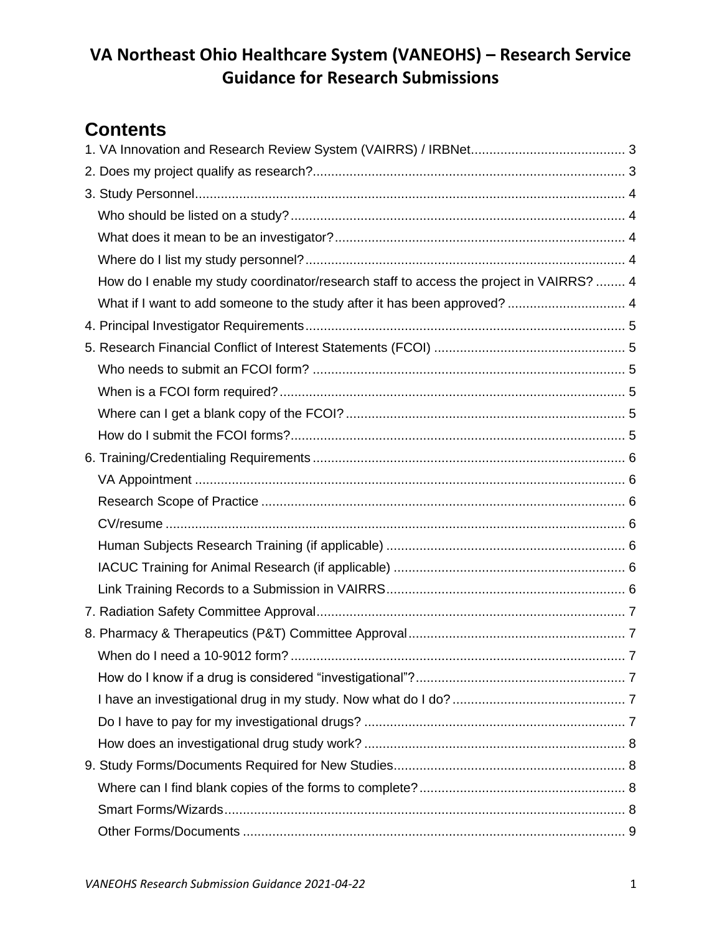# **Contents**

| How do I enable my study coordinator/research staff to access the project in VAIRRS?  4 |  |
|-----------------------------------------------------------------------------------------|--|
| What if I want to add someone to the study after it has been approved?  4               |  |
|                                                                                         |  |
|                                                                                         |  |
|                                                                                         |  |
|                                                                                         |  |
|                                                                                         |  |
|                                                                                         |  |
|                                                                                         |  |
|                                                                                         |  |
|                                                                                         |  |
|                                                                                         |  |
|                                                                                         |  |
|                                                                                         |  |
|                                                                                         |  |
|                                                                                         |  |
|                                                                                         |  |
|                                                                                         |  |
|                                                                                         |  |
|                                                                                         |  |
|                                                                                         |  |
|                                                                                         |  |
|                                                                                         |  |
|                                                                                         |  |
|                                                                                         |  |
|                                                                                         |  |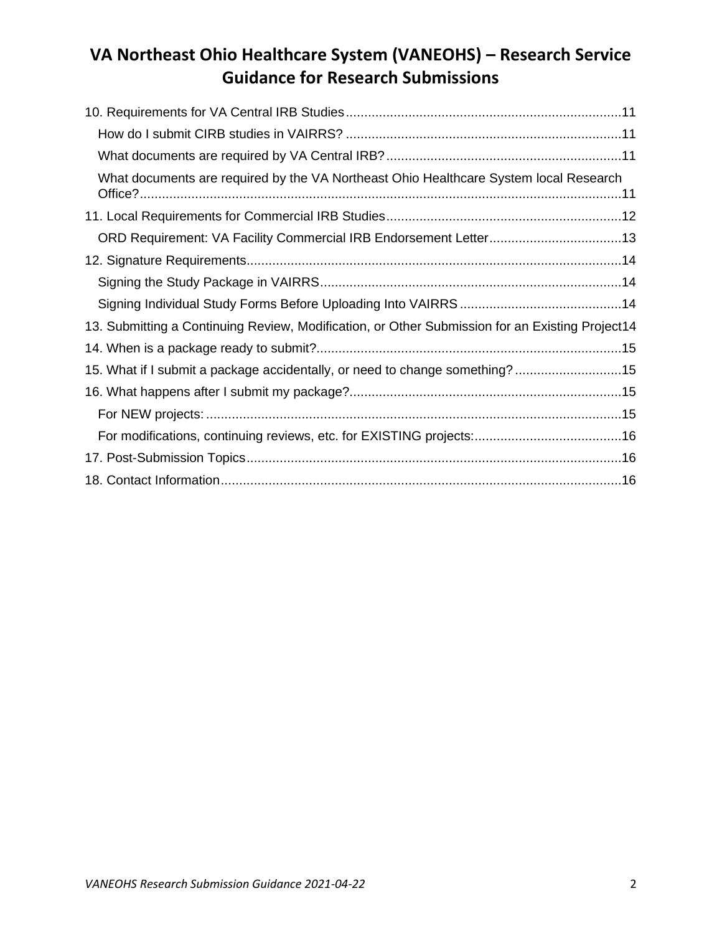| What documents are required by the VA Northeast Ohio Healthcare System local Research           |  |
|-------------------------------------------------------------------------------------------------|--|
|                                                                                                 |  |
|                                                                                                 |  |
|                                                                                                 |  |
|                                                                                                 |  |
|                                                                                                 |  |
| 13. Submitting a Continuing Review, Modification, or Other Submission for an Existing Project14 |  |
|                                                                                                 |  |
| 15. What if I submit a package accidentally, or need to change something?15                     |  |
|                                                                                                 |  |
|                                                                                                 |  |
|                                                                                                 |  |
|                                                                                                 |  |
|                                                                                                 |  |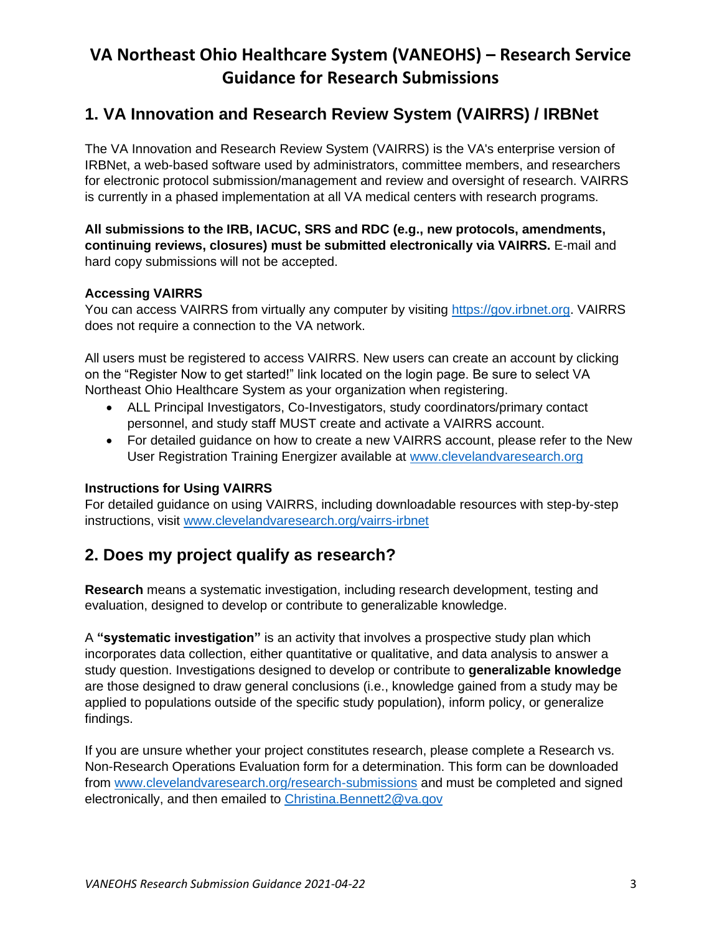## <span id="page-2-0"></span>**1. VA Innovation and Research Review System (VAIRRS) / IRBNet**

The VA Innovation and Research Review System (VAIRRS) is the VA's enterprise version of IRBNet, a web-based software used by administrators, committee members, and researchers for electronic protocol submission/management and review and oversight of research. VAIRRS is currently in a phased implementation at all VA medical centers with research programs.

**All submissions to the IRB, IACUC, SRS and RDC (e.g., new protocols, amendments, continuing reviews, closures) must be submitted electronically via VAIRRS.** E-mail and hard copy submissions will not be accepted.

#### **Accessing VAIRRS**

You can access VAIRRS from virtually any computer by visiting [https://gov.irbnet.org.](https://gov.irbnet.org/) VAIRRS does not require a connection to the VA network.

All users must be registered to access VAIRRS. New users can create an account by clicking on the "Register Now to get started!" link located on the login page. Be sure to select VA Northeast Ohio Healthcare System as your organization when registering.

- ALL Principal Investigators, Co-Investigators, study coordinators/primary contact personnel, and study staff MUST create and activate a VAIRRS account.
- For detailed guidance on how to create a new VAIRRS account, please refer to the New User Registration Training Energizer available at [www.clevelandvaresearch.org](http://www.clevelandvaresearch.org/)

#### **Instructions for Using VAIRRS**

For detailed guidance on using VAIRRS, including downloadable resources with step-by-step instructions, visit [www.clevelandvaresearch.org/vairrs-irbnet](http://www.clevelandvaresearch.org/vairrs-irbnet)

### <span id="page-2-1"></span>**2. Does my project qualify as research?**

**Research** means a systematic investigation, including research development, testing and evaluation, designed to develop or contribute to generalizable knowledge.

A **"systematic investigation"** is an activity that involves a prospective study plan which incorporates data collection, either quantitative or qualitative, and data analysis to answer a study question. Investigations designed to develop or contribute to **generalizable knowledge**  are those designed to draw general conclusions (i.e., knowledge gained from a study may be applied to populations outside of the specific study population), inform policy, or generalize findings.

If you are unsure whether your project constitutes research, please complete a Research vs. Non-Research Operations Evaluation form for a determination. This form can be downloaded from [www.clevelandvaresearch.org/research-submissions](https://www.clevelandvaresearch.org/research-submissions) and must be completed and signed electronically, and then emailed to [Christina.Bennett2@va.gov](mailto:Christina.Bennett2@va.gov)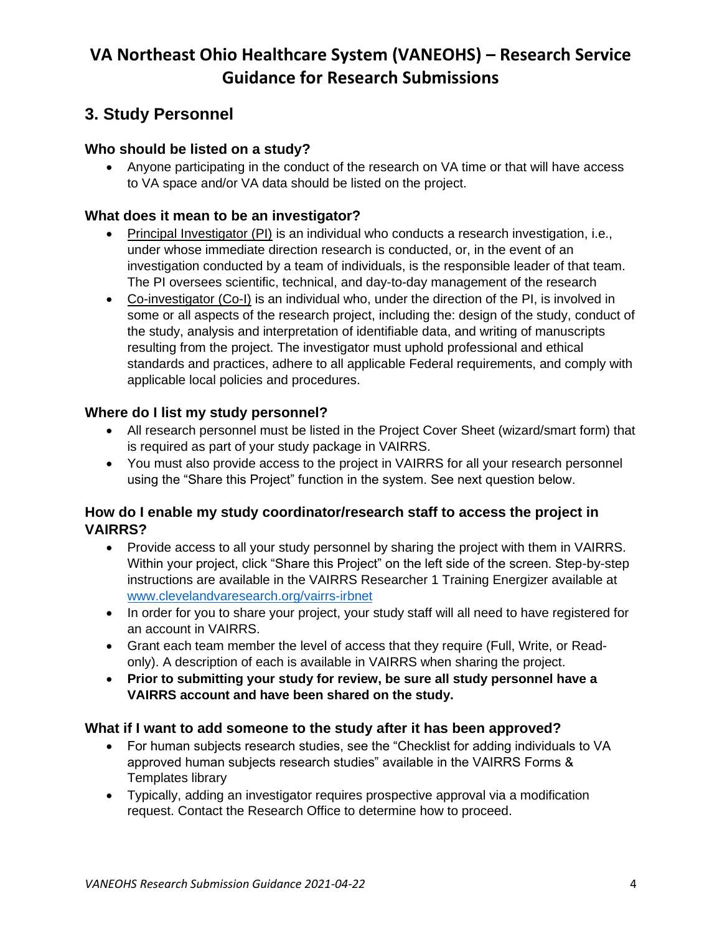## <span id="page-3-0"></span>**3. Study Personnel**

### <span id="page-3-1"></span>**Who should be listed on a study?**

• Anyone participating in the conduct of the research on VA time or that will have access to VA space and/or VA data should be listed on the project.

#### <span id="page-3-2"></span>**What does it mean to be an investigator?**

- Principal Investigator (PI) is an individual who conducts a research investigation, i.e., under whose immediate direction research is conducted, or, in the event of an investigation conducted by a team of individuals, is the responsible leader of that team. The PI oversees scientific, technical, and day-to-day management of the research
- Co-investigator (Co-I) is an individual who, under the direction of the PI, is involved in some or all aspects of the research project, including the: design of the study, conduct of the study, analysis and interpretation of identifiable data, and writing of manuscripts resulting from the project. The investigator must uphold professional and ethical standards and practices, adhere to all applicable Federal requirements, and comply with applicable local policies and procedures.

#### <span id="page-3-3"></span>**Where do I list my study personnel?**

- All research personnel must be listed in the Project Cover Sheet (wizard/smart form) that is required as part of your study package in VAIRRS.
- You must also provide access to the project in VAIRRS for all your research personnel using the "Share this Project" function in the system. See next question below.

#### <span id="page-3-4"></span>**How do I enable my study coordinator/research staff to access the project in VAIRRS?**

- Provide access to all your study personnel by sharing the project with them in VAIRRS. Within your project, click "Share this Project" on the left side of the screen. Step-by-step instructions are available in the VAIRRS Researcher 1 Training Energizer available at [www.clevelandvaresearch.org/vairrs-irbnet](http://www.clevelandvaresearch.org/vairrs-irbnet)
- In order for you to share your project, your study staff will all need to have registered for an account in VAIRRS.
- Grant each team member the level of access that they require (Full, Write, or Readonly). A description of each is available in VAIRRS when sharing the project.
- **Prior to submitting your study for review, be sure all study personnel have a VAIRRS account and have been shared on the study.**

#### <span id="page-3-5"></span>**What if I want to add someone to the study after it has been approved?**

- For human subjects research studies, see the "Checklist for adding individuals to VA approved human subjects research studies" available in the VAIRRS Forms & Templates library
- Typically, adding an investigator requires prospective approval via a modification request. Contact the Research Office to determine how to proceed.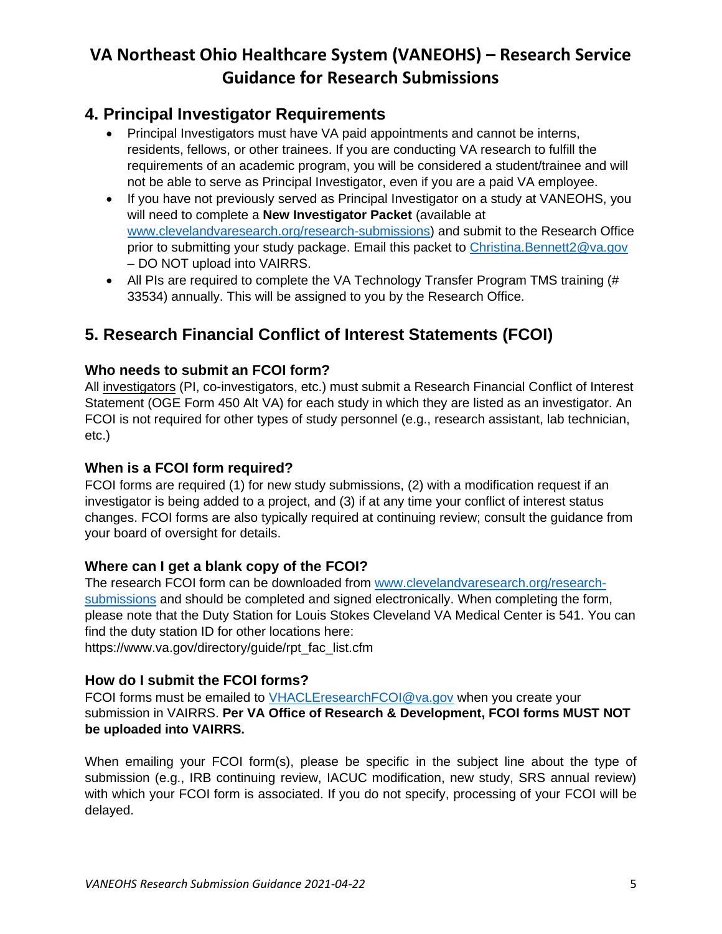### <span id="page-4-0"></span>**4. Principal Investigator Requirements**

- Principal Investigators must have VA paid appointments and cannot be interns, residents, fellows, or other trainees. If you are conducting VA research to fulfill the requirements of an academic program, you will be considered a student/trainee and will not be able to serve as Principal Investigator, even if you are a paid VA employee.
- If you have not previously served as Principal Investigator on a study at VANEOHS, you will need to complete a **New Investigator Packet** (available at [www.clevelandvaresearch.org/research-submissions\)](https://www.clevelandvaresearch.org/research-submissions) and submit to the Research Office prior to submitting your study package. Email this packet to [Christina.Bennett2@va.gov](mailto:Christina.Bennett2@va.gov) – DO NOT upload into VAIRRS.
- All PIs are required to complete the VA Technology Transfer Program TMS training (# 33534) annually. This will be assigned to you by the Research Office.

## <span id="page-4-1"></span>**5. Research Financial Conflict of Interest Statements (FCOI)**

### <span id="page-4-2"></span>**Who needs to submit an FCOI form?**

All investigators (PI, co-investigators, etc.) must submit a Research Financial Conflict of Interest Statement (OGE Form 450 Alt VA) for each study in which they are listed as an investigator. An FCOI is not required for other types of study personnel (e.g., research assistant, lab technician, etc.)

### <span id="page-4-3"></span>**When is a FCOI form required?**

FCOI forms are required (1) for new study submissions, (2) with a modification request if an investigator is being added to a project, and (3) if at any time your conflict of interest status changes. FCOI forms are also typically required at continuing review; consult the guidance from your board of oversight for details.

### <span id="page-4-4"></span>**Where can I get a blank copy of the FCOI?**

The research FCOI form can be downloaded from [www.clevelandvaresearch.org/research](https://www.clevelandvaresearch.org/research-submissions)[submissions](https://www.clevelandvaresearch.org/research-submissions) and should be completed and signed electronically. When completing the form, please note that the Duty Station for Louis Stokes Cleveland VA Medical Center is 541. You can find the duty station ID for other locations here:

https://www.va.gov/directory/guide/rpt\_fac\_list.cfm

### <span id="page-4-5"></span>**How do I submit the FCOI forms?**

FCOI forms must be emailed to [VHACLEresearchFCOI@va.gov](mailto:VHACLEresearchFCOI@va.gov) when you create your submission in VAIRRS. **Per VA Office of Research & Development, FCOI forms MUST NOT be uploaded into VAIRRS.** 

When emailing your FCOI form(s), please be specific in the subject line about the type of submission (e.g., IRB continuing review, IACUC modification, new study, SRS annual review) with which your FCOI form is associated. If you do not specify, processing of your FCOI will be delayed.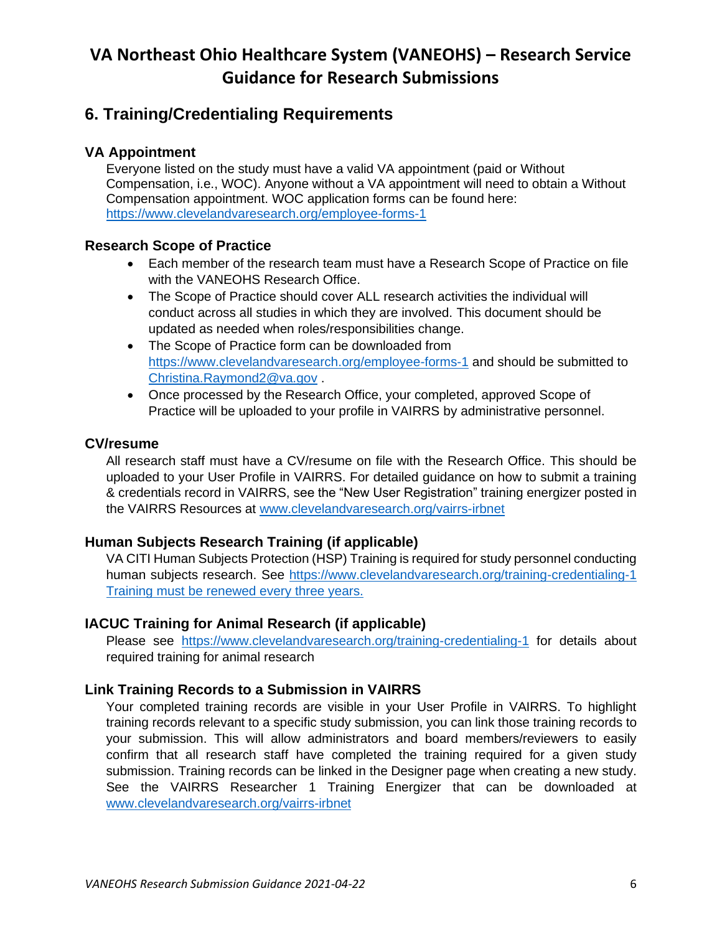### <span id="page-5-0"></span>**6. Training/Credentialing Requirements**

#### <span id="page-5-1"></span>**VA Appointment**

Everyone listed on the study must have a valid VA appointment (paid or Without Compensation, i.e., WOC). Anyone without a VA appointment will need to obtain a Without Compensation appointment. WOC application forms can be found here: <https://www.clevelandvaresearch.org/employee-forms-1>

#### <span id="page-5-2"></span>**Research Scope of Practice**

- Each member of the research team must have a Research Scope of Practice on file with the VANEOHS Research Office.
- The Scope of Practice should cover ALL research activities the individual will conduct across all studies in which they are involved. This document should be updated as needed when roles/responsibilities change.
- The Scope of Practice form can be downloaded from <https://www.clevelandvaresearch.org/employee-forms-1> and should be submitted to [Christina.Raymond2@va.gov](mailto:Christina.Raymond2@va.gov) .
- Once processed by the Research Office, your completed, approved Scope of Practice will be uploaded to your profile in VAIRRS by administrative personnel.

#### <span id="page-5-3"></span>**CV/resume**

All research staff must have a CV/resume on file with the Research Office. This should be uploaded to your User Profile in VAIRRS. For detailed guidance on how to submit a training & credentials record in VAIRRS, see the "New User Registration" training energizer posted in the VAIRRS Resources at [www.clevelandvaresearch.org/vairrs-irbnet](http://www.clevelandvaresearch.org/vairrs-irbnet)

#### <span id="page-5-4"></span>**Human Subjects Research Training (if applicable)**

VA CITI Human Subjects Protection (HSP) Training is required for study personnel conducting human subjects research. See<https://www.clevelandvaresearch.org/training-credentialing-1> Training must be renewed every three years.

#### <span id="page-5-5"></span>**IACUC Training for Animal Research (if applicable)**

Please see <https://www.clevelandvaresearch.org/training-credentialing-1> for details about required training for animal research

### <span id="page-5-6"></span>**Link Training Records to a Submission in VAIRRS**

Your completed training records are visible in your User Profile in VAIRRS. To highlight training records relevant to a specific study submission, you can link those training records to your submission. This will allow administrators and board members/reviewers to easily confirm that all research staff have completed the training required for a given study submission. Training records can be linked in the Designer page when creating a new study. See the VAIRRS Researcher 1 Training Energizer that can be downloaded at [www.clevelandvaresearch.org/vairrs-irbnet](http://www.clevelandvaresearch.org/vairrs-irbnet)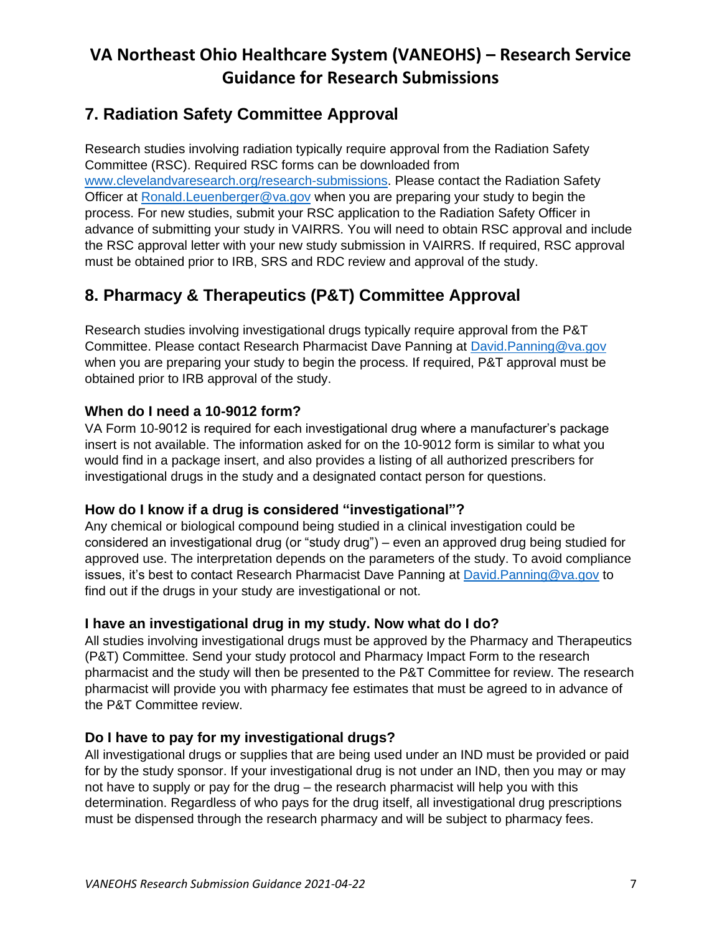## <span id="page-6-0"></span>**7. Radiation Safety Committee Approval**

Research studies involving radiation typically require approval from the Radiation Safety Committee (RSC). Required RSC forms can be downloaded from [www.clevelandvaresearch.org/research-submissions.](https://www.clevelandvaresearch.org/research-submissions) Please contact the Radiation Safety Officer at [Ronald.Leuenberger@va.gov](mailto:Ronald.Leuenberger@va.gov) when you are preparing your study to begin the process. For new studies, submit your RSC application to the Radiation Safety Officer in advance of submitting your study in VAIRRS. You will need to obtain RSC approval and include the RSC approval letter with your new study submission in VAIRRS. If required, RSC approval must be obtained prior to IRB, SRS and RDC review and approval of the study.

## <span id="page-6-1"></span>**8. Pharmacy & Therapeutics (P&T) Committee Approval**

Research studies involving investigational drugs typically require approval from the P&T Committee. Please contact Research Pharmacist Dave Panning at [David.Panning@va.gov](mailto:David.Panning@va.gov) when you are preparing your study to begin the process. If required, P&T approval must be obtained prior to IRB approval of the study.

### <span id="page-6-2"></span>**When do I need a 10-9012 form?**

VA Form 10-9012 is required for each investigational drug where a manufacturer's package insert is not available. The information asked for on the 10-9012 form is similar to what you would find in a package insert, and also provides a listing of all authorized prescribers for investigational drugs in the study and a designated contact person for questions.

### <span id="page-6-3"></span>**How do I know if a drug is considered "investigational"?**

Any chemical or biological compound being studied in a clinical investigation could be considered an investigational drug (or "study drug") – even an approved drug being studied for approved use. The interpretation depends on the parameters of the study. To avoid compliance issues, it's best to contact Research Pharmacist Dave Panning at [David.Panning@va.gov](mailto:David.Panning@va.gov) to find out if the drugs in your study are investigational or not.

### <span id="page-6-4"></span>**I have an investigational drug in my study. Now what do I do?**

All studies involving investigational drugs must be approved by the Pharmacy and Therapeutics (P&T) Committee. Send your study protocol and Pharmacy Impact Form to the research pharmacist and the study will then be presented to the P&T Committee for review. The research pharmacist will provide you with pharmacy fee estimates that must be agreed to in advance of the P&T Committee review.

### <span id="page-6-5"></span>**Do I have to pay for my investigational drugs?**

All investigational drugs or supplies that are being used under an IND must be provided or paid for by the study sponsor. If your investigational drug is not under an IND, then you may or may not have to supply or pay for the drug – the research pharmacist will help you with this determination. Regardless of who pays for the drug itself, all investigational drug prescriptions must be dispensed through the research pharmacy and will be subject to pharmacy fees.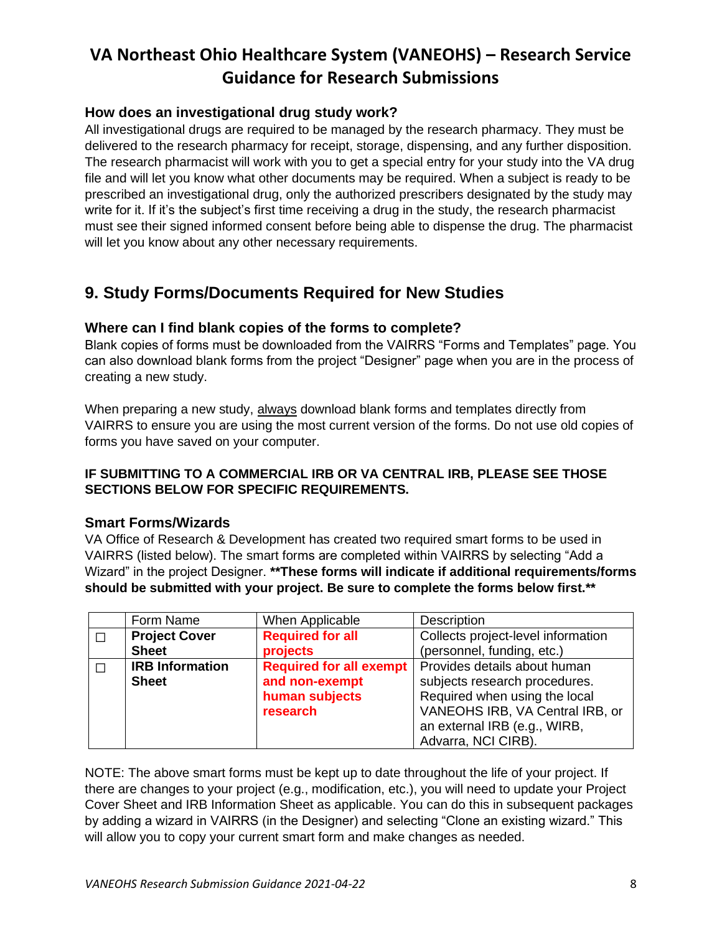### <span id="page-7-0"></span>**How does an investigational drug study work?**

All investigational drugs are required to be managed by the research pharmacy. They must be delivered to the research pharmacy for receipt, storage, dispensing, and any further disposition. The research pharmacist will work with you to get a special entry for your study into the VA drug file and will let you know what other documents may be required. When a subject is ready to be prescribed an investigational drug, only the authorized prescribers designated by the study may write for it. If it's the subject's first time receiving a drug in the study, the research pharmacist must see their signed informed consent before being able to dispense the drug. The pharmacist will let you know about any other necessary requirements.

### <span id="page-7-1"></span>**9. Study Forms/Documents Required for New Studies**

#### <span id="page-7-2"></span>**Where can I find blank copies of the forms to complete?**

Blank copies of forms must be downloaded from the VAIRRS "Forms and Templates" page. You can also download blank forms from the project "Designer" page when you are in the process of creating a new study.

When preparing a new study, always download blank forms and templates directly from VAIRRS to ensure you are using the most current version of the forms. Do not use old copies of forms you have saved on your computer.

#### **IF SUBMITTING TO A COMMERCIAL IRB OR VA CENTRAL IRB, PLEASE SEE THOSE SECTIONS BELOW FOR SPECIFIC REQUIREMENTS.**

#### <span id="page-7-3"></span>**Smart Forms/Wizards**

VA Office of Research & Development has created two required smart forms to be used in VAIRRS (listed below). The smart forms are completed within VAIRRS by selecting "Add a Wizard" in the project Designer. **\*\*These forms will indicate if additional requirements/forms should be submitted with your project. Be sure to complete the forms below first.\*\***

| Form Name              | When Applicable         | <b>Description</b>                                            |
|------------------------|-------------------------|---------------------------------------------------------------|
| <b>Project Cover</b>   | <b>Required for all</b> | Collects project-level information                            |
| <b>Sheet</b>           | projects                | (personnel, funding, etc.)                                    |
| <b>IRB Information</b> |                         | <b>Required for all exempt</b>   Provides details about human |
| <b>Sheet</b>           | and non-exempt          | subjects research procedures.                                 |
|                        | human subjects          | Required when using the local                                 |
|                        | research                | VANEOHS IRB, VA Central IRB, or                               |
|                        |                         | an external IRB (e.g., WIRB,                                  |
|                        |                         | Advarra, NCI CIRB).                                           |

NOTE: The above smart forms must be kept up to date throughout the life of your project. If there are changes to your project (e.g., modification, etc.), you will need to update your Project Cover Sheet and IRB Information Sheet as applicable. You can do this in subsequent packages by adding a wizard in VAIRRS (in the Designer) and selecting "Clone an existing wizard." This will allow you to copy your current smart form and make changes as needed.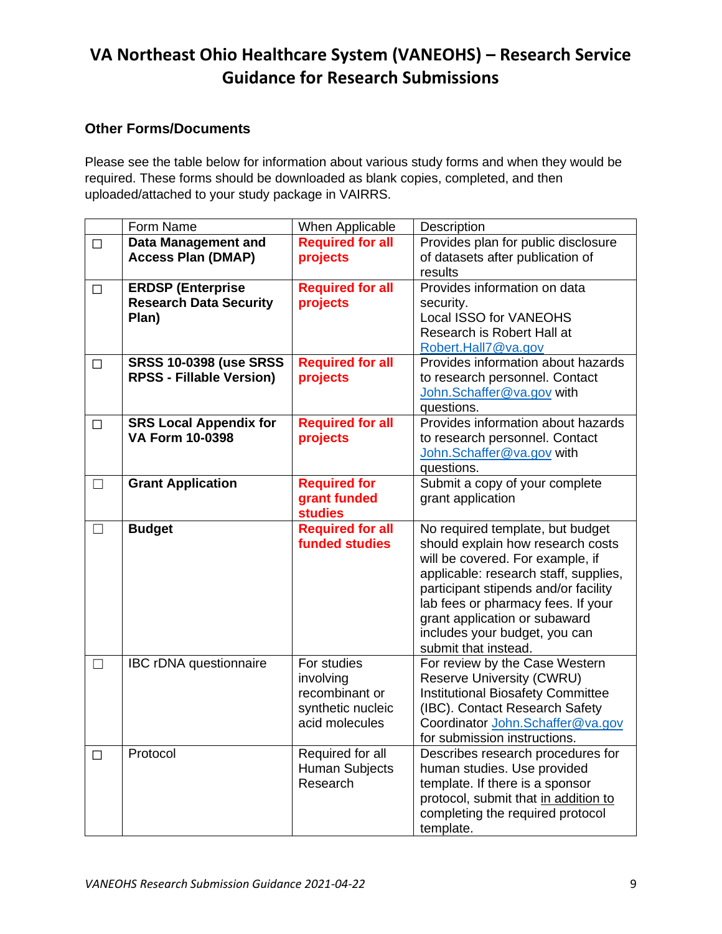#### <span id="page-8-0"></span>**Other Forms/Documents**

Please see the table below for information about various study forms and when they would be required. These forms should be downloaded as blank copies, completed, and then uploaded/attached to your study package in VAIRRS.

|                   | Form Name                       | When Applicable         | Description                                   |
|-------------------|---------------------------------|-------------------------|-----------------------------------------------|
| $\Box$            | <b>Data Management and</b>      | <b>Required for all</b> | Provides plan for public disclosure           |
|                   | <b>Access Plan (DMAP)</b>       | projects                | of datasets after publication of              |
|                   |                                 |                         | results                                       |
| $\Box$            | <b>ERDSP (Enterprise</b>        | <b>Required for all</b> | Provides information on data                  |
|                   | <b>Research Data Security</b>   | projects                | security.                                     |
|                   | Plan)                           |                         | Local ISSO for VANEOHS                        |
|                   |                                 |                         | Research is Robert Hall at                    |
|                   |                                 |                         | Robert.Hall7@va.gov                           |
| $\Box$            | <b>SRSS 10-0398 (use SRSS</b>   | <b>Required for all</b> | Provides information about hazards            |
|                   | <b>RPSS - Fillable Version)</b> | projects                | to research personnel. Contact                |
|                   |                                 |                         | John.Schaffer@va.gov with                     |
|                   |                                 |                         | questions.                                    |
| □                 | <b>SRS Local Appendix for</b>   | <b>Required for all</b> | Provides information about hazards            |
|                   | <b>VA Form 10-0398</b>          | projects                | to research personnel. Contact                |
|                   |                                 |                         | John.Schaffer@va.gov with                     |
|                   |                                 |                         | questions.                                    |
| $\Box$            | <b>Grant Application</b>        | <b>Required for</b>     | Submit a copy of your complete                |
|                   |                                 | grant funded            | grant application                             |
|                   |                                 | <b>studies</b>          |                                               |
| $\vert \ \ \vert$ | <b>Budget</b>                   | <b>Required for all</b> | No required template, but budget              |
|                   |                                 |                         |                                               |
|                   |                                 | <b>funded studies</b>   | should explain how research costs             |
|                   |                                 |                         | will be covered. For example, if              |
|                   |                                 |                         | applicable: research staff, supplies,         |
|                   |                                 |                         | participant stipends and/or facility          |
|                   |                                 |                         | lab fees or pharmacy fees. If your            |
|                   |                                 |                         | grant application or subaward                 |
|                   |                                 |                         | includes your budget, you can                 |
|                   |                                 |                         | submit that instead.                          |
| $\Box$            | <b>IBC rDNA questionnaire</b>   | For studies             | For review by the Case Western                |
|                   |                                 | involving               | <b>Reserve University (CWRU)</b>              |
|                   |                                 | recombinant or          | <b>Institutional Biosafety Committee</b>      |
|                   |                                 | synthetic nucleic       | (IBC). Contact Research Safety                |
|                   |                                 | acid molecules          | Coordinator John.Schaffer@va.gov              |
|                   |                                 |                         | for submission instructions.                  |
| $\mathsf{L}$      | Protocol                        | Required for all        | Describes research procedures for             |
|                   |                                 | Human Subjects          | human studies. Use provided                   |
|                   |                                 | Research                | template. If there is a sponsor               |
|                   |                                 |                         | protocol, submit that in addition to          |
|                   |                                 |                         | completing the required protocol<br>template. |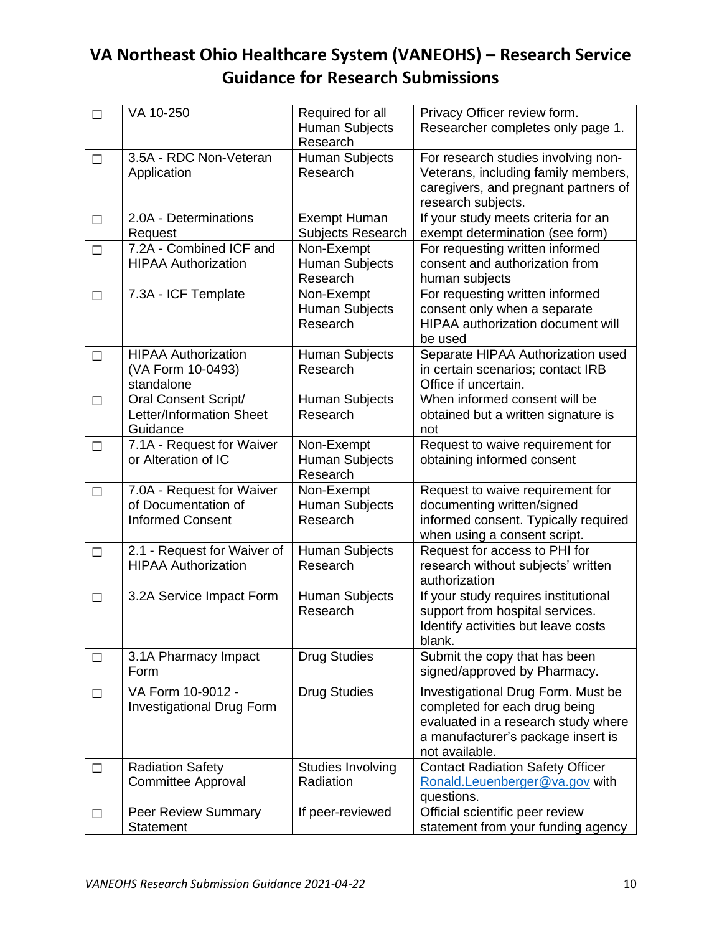| $\Box$ | VA 10-250                                                                   | Required for all<br><b>Human Subjects</b>       | Privacy Officer review form.<br>Researcher completes only page 1.                                                                                                  |
|--------|-----------------------------------------------------------------------------|-------------------------------------------------|--------------------------------------------------------------------------------------------------------------------------------------------------------------------|
|        |                                                                             | Research                                        |                                                                                                                                                                    |
| $\Box$ | 3.5A - RDC Non-Veteran<br>Application                                       | Human Subjects<br>Research                      | For research studies involving non-<br>Veterans, including family members,<br>caregivers, and pregnant partners of<br>research subjects.                           |
| $\Box$ | 2.0A - Determinations<br>Request                                            | <b>Exempt Human</b><br>Subjects Research        | If your study meets criteria for an<br>exempt determination (see form)                                                                                             |
| $\Box$ | 7.2A - Combined ICF and<br><b>HIPAA Authorization</b>                       | Non-Exempt<br><b>Human Subjects</b><br>Research | For requesting written informed<br>consent and authorization from<br>human subjects                                                                                |
| $\Box$ | 7.3A - ICF Template                                                         | Non-Exempt<br><b>Human Subjects</b><br>Research | For requesting written informed<br>consent only when a separate<br>HIPAA authorization document will<br>be used                                                    |
| $\Box$ | <b>HIPAA Authorization</b><br>(VA Form 10-0493)<br>standalone               | Human Subjects<br>Research                      | Separate HIPAA Authorization used<br>in certain scenarios; contact IRB<br>Office if uncertain.                                                                     |
| $\Box$ | <b>Oral Consent Script/</b><br>Letter/Information Sheet<br>Guidance         | <b>Human Subjects</b><br>Research               | When informed consent will be<br>obtained but a written signature is<br>not                                                                                        |
| $\Box$ | 7.1A - Request for Waiver<br>or Alteration of IC                            | Non-Exempt<br><b>Human Subjects</b><br>Research | Request to waive requirement for<br>obtaining informed consent                                                                                                     |
| $\Box$ | 7.0A - Request for Waiver<br>of Documentation of<br><b>Informed Consent</b> | Non-Exempt<br>Human Subjects<br>Research        | Request to waive requirement for<br>documenting written/signed<br>informed consent. Typically required<br>when using a consent script.                             |
| $\Box$ | 2.1 - Request for Waiver of<br><b>HIPAA Authorization</b>                   | Human Subjects<br>Research                      | Request for access to PHI for<br>research without subjects' written<br>authorization                                                                               |
| $\Box$ | 3.2A Service Impact Form                                                    | Human Subjects<br>Research                      | If your study requires institutional<br>support from hospital services.<br>Identify activities but leave costs<br>blank.                                           |
| $\Box$ | 3.1A Pharmacy Impact<br>Form                                                | <b>Drug Studies</b>                             | Submit the copy that has been<br>signed/approved by Pharmacy.                                                                                                      |
| $\Box$ | VA Form 10-9012 -<br><b>Investigational Drug Form</b>                       | <b>Drug Studies</b>                             | Investigational Drug Form. Must be<br>completed for each drug being<br>evaluated in a research study where<br>a manufacturer's package insert is<br>not available. |
| $\Box$ | <b>Radiation Safety</b><br><b>Committee Approval</b>                        | Studies Involving<br>Radiation                  | <b>Contact Radiation Safety Officer</b><br>Ronald.Leuenberger@va.gov with<br>questions.                                                                            |
| $\Box$ | <b>Peer Review Summary</b><br>Statement                                     | If peer-reviewed                                | Official scientific peer review<br>statement from your funding agency                                                                                              |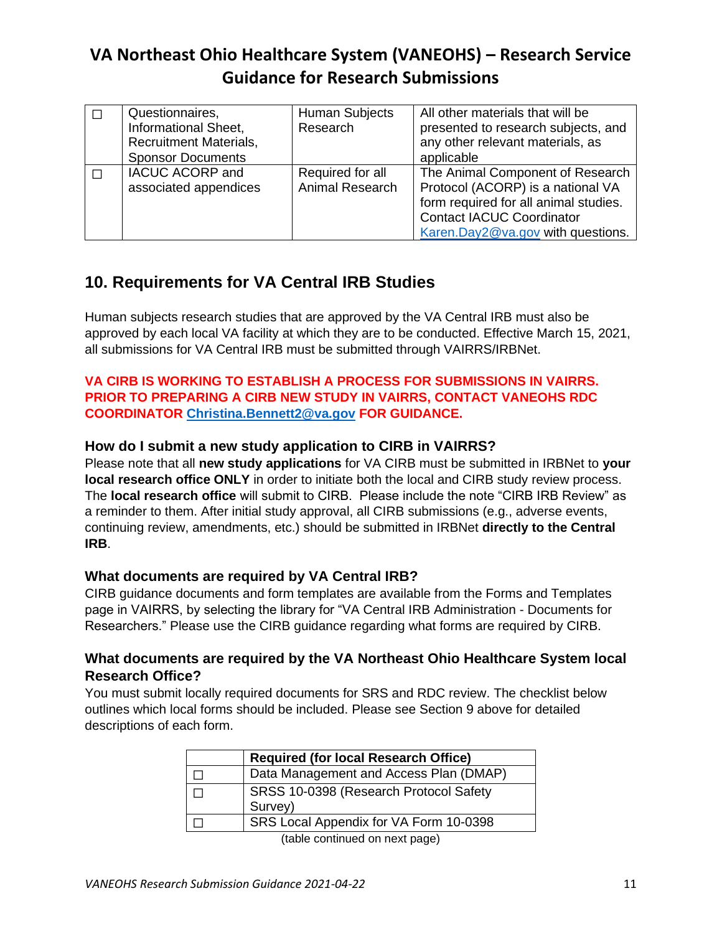| Questionnaires,<br>Informational Sheet,<br><b>Recruitment Materials,</b><br><b>Sponsor Documents</b> | <b>Human Subjects</b><br>Research   | All other materials that will be<br>presented to research subjects, and<br>any other relevant materials, as<br>applicable                                                               |
|------------------------------------------------------------------------------------------------------|-------------------------------------|-----------------------------------------------------------------------------------------------------------------------------------------------------------------------------------------|
| <b>IACUC ACORP and</b><br>associated appendices                                                      | Required for all<br>Animal Research | The Animal Component of Research<br>Protocol (ACORP) is a national VA<br>form required for all animal studies.<br><b>Contact IACUC Coordinator</b><br>Karen.Day2@va.gov with questions. |

## <span id="page-10-0"></span>**10. Requirements for VA Central IRB Studies**

Human subjects research studies that are approved by the VA Central IRB must also be approved by each local VA facility at which they are to be conducted. Effective March 15, 2021, all submissions for VA Central IRB must be submitted through VAIRRS/IRBNet.

#### **VA CIRB IS WORKING TO ESTABLISH A PROCESS FOR SUBMISSIONS IN VAIRRS. PRIOR TO PREPARING A CIRB NEW STUDY IN VAIRRS, CONTACT VANEOHS RDC COORDINATOR [Christina.Bennett2@va.gov](mailto:Christina.Bennett2@va.gov) FOR GUIDANCE.**

#### <span id="page-10-1"></span>**How do I submit a new study application to CIRB in VAIRRS?**

Please note that all **new study applications** for VA CIRB must be submitted in IRBNet to **your local research office ONLY** in order to initiate both the local and CIRB study review process. The **local research office** will submit to CIRB. Please include the note "CIRB IRB Review" as a reminder to them. After initial study approval, all CIRB submissions (e.g., adverse events, continuing review, amendments, etc.) should be submitted in IRBNet **directly to the Central IRB**.

### <span id="page-10-2"></span>**What documents are required by VA Central IRB?**

CIRB guidance documents and form templates are available from the Forms and Templates page in VAIRRS, by selecting the library for "VA Central IRB Administration - Documents for Researchers." Please use the CIRB guidance regarding what forms are required by CIRB.

#### <span id="page-10-3"></span>**What documents are required by the VA Northeast Ohio Healthcare System local Research Office?**

You must submit locally required documents for SRS and RDC review. The checklist below outlines which local forms should be included. Please see Section 9 above for detailed descriptions of each form.

|                                                                                       | <b>Required (for local Research Office)</b>       |  |  |
|---------------------------------------------------------------------------------------|---------------------------------------------------|--|--|
|                                                                                       | Data Management and Access Plan (DMAP)            |  |  |
|                                                                                       | SRSS 10-0398 (Research Protocol Safety<br>Survey) |  |  |
|                                                                                       | SRS Local Appendix for VA Form 10-0398            |  |  |
| $\ell$ . In the contract of the contract of the contract of the contract of $\Lambda$ |                                                   |  |  |

(table continued on next page)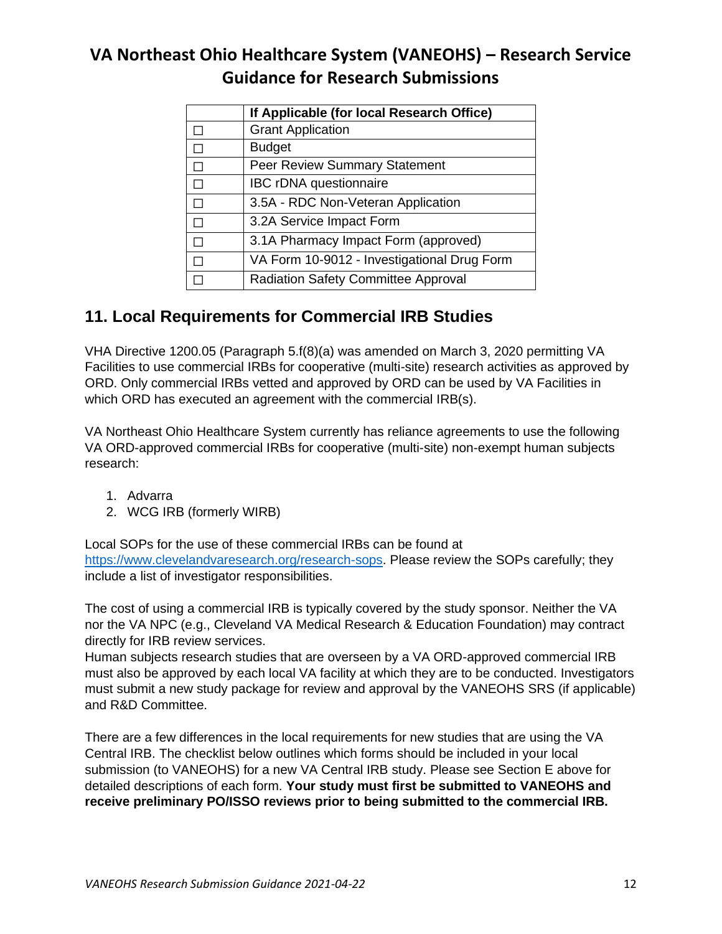|        | If Applicable (for local Research Office)   |
|--------|---------------------------------------------|
|        | <b>Grant Application</b>                    |
|        | <b>Budget</b>                               |
|        | <b>Peer Review Summary Statement</b>        |
|        | IBC rDNA questionnaire                      |
| П      | 3.5A - RDC Non-Veteran Application          |
| $\Box$ | 3.2A Service Impact Form                    |
|        | 3.1A Pharmacy Impact Form (approved)        |
|        | VA Form 10-9012 - Investigational Drug Form |
|        | <b>Radiation Safety Committee Approval</b>  |

## <span id="page-11-0"></span>**11. Local Requirements for Commercial IRB Studies**

VHA Directive 1200.05 (Paragraph 5.f(8)(a) was amended on March 3, 2020 permitting VA Facilities to use commercial IRBs for cooperative (multi-site) research activities as approved by ORD. Only commercial IRBs vetted and approved by ORD can be used by VA Facilities in which ORD has executed an agreement with the commercial IRB(s).

VA Northeast Ohio Healthcare System currently has reliance agreements to use the following VA ORD-approved commercial IRBs for cooperative (multi-site) non-exempt human subjects research:

- 1. Advarra
- 2. WCG IRB (formerly WIRB)

Local SOPs for the use of these commercial IRBs can be found at [https://www.clevelandvaresearch.org/research-sops.](https://www.clevelandvaresearch.org/research-sops) Please review the SOPs carefully; they include a list of investigator responsibilities.

The cost of using a commercial IRB is typically covered by the study sponsor. Neither the VA nor the VA NPC (e.g., Cleveland VA Medical Research & Education Foundation) may contract directly for IRB review services.

Human subjects research studies that are overseen by a VA ORD-approved commercial IRB must also be approved by each local VA facility at which they are to be conducted. Investigators must submit a new study package for review and approval by the VANEOHS SRS (if applicable) and R&D Committee.

There are a few differences in the local requirements for new studies that are using the VA Central IRB. The checklist below outlines which forms should be included in your local submission (to VANEOHS) for a new VA Central IRB study. Please see Section E above for detailed descriptions of each form. **Your study must first be submitted to VANEOHS and receive preliminary PO/ISSO reviews prior to being submitted to the commercial IRB.**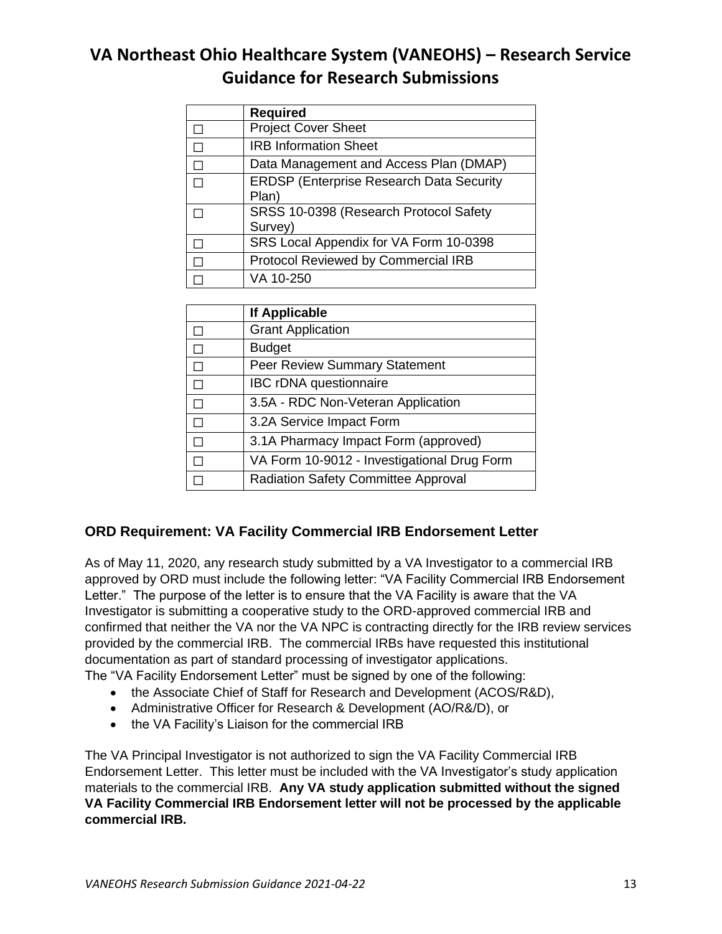| <b>Required</b>                                 |
|-------------------------------------------------|
| <b>Project Cover Sheet</b>                      |
| <b>IRB Information Sheet</b>                    |
| Data Management and Access Plan (DMAP)          |
| <b>ERDSP (Enterprise Research Data Security</b> |
| Plan)                                           |
| SRSS 10-0398 (Research Protocol Safety          |
| Survey)                                         |
| SRS Local Appendix for VA Form 10-0398          |
| Protocol Reviewed by Commercial IRB             |
| VA 10-250                                       |

| If Applicable                               |  |
|---------------------------------------------|--|
| <b>Grant Application</b>                    |  |
| <b>Budget</b>                               |  |
| <b>Peer Review Summary Statement</b>        |  |
| <b>IBC rDNA questionnaire</b>               |  |
| 3.5A - RDC Non-Veteran Application          |  |
| 3.2A Service Impact Form                    |  |
| 3.1A Pharmacy Impact Form (approved)        |  |
| VA Form 10-9012 - Investigational Drug Form |  |
| <b>Radiation Safety Committee Approval</b>  |  |

### <span id="page-12-0"></span>**ORD Requirement: VA Facility Commercial IRB Endorsement Letter**

As of May 11, 2020, any research study submitted by a VA Investigator to a commercial IRB approved by ORD must include the following letter: "VA Facility Commercial IRB Endorsement Letter." The purpose of the letter is to ensure that the VA Facility is aware that the VA Investigator is submitting a cooperative study to the ORD-approved commercial IRB and confirmed that neither the VA nor the VA NPC is contracting directly for the IRB review services provided by the commercial IRB. The commercial IRBs have requested this institutional documentation as part of standard processing of investigator applications.

The "VA Facility Endorsement Letter" must be signed by one of the following:

- the Associate Chief of Staff for Research and Development (ACOS/R&D),
- Administrative Officer for Research & Development (AO/R&/D), or
- the VA Facility's Liaison for the commercial IRB

The VA Principal Investigator is not authorized to sign the VA Facility Commercial IRB Endorsement Letter. This letter must be included with the VA Investigator's study application materials to the commercial IRB. **Any VA study application submitted without the signed VA Facility Commercial IRB Endorsement letter will not be processed by the applicable commercial IRB.**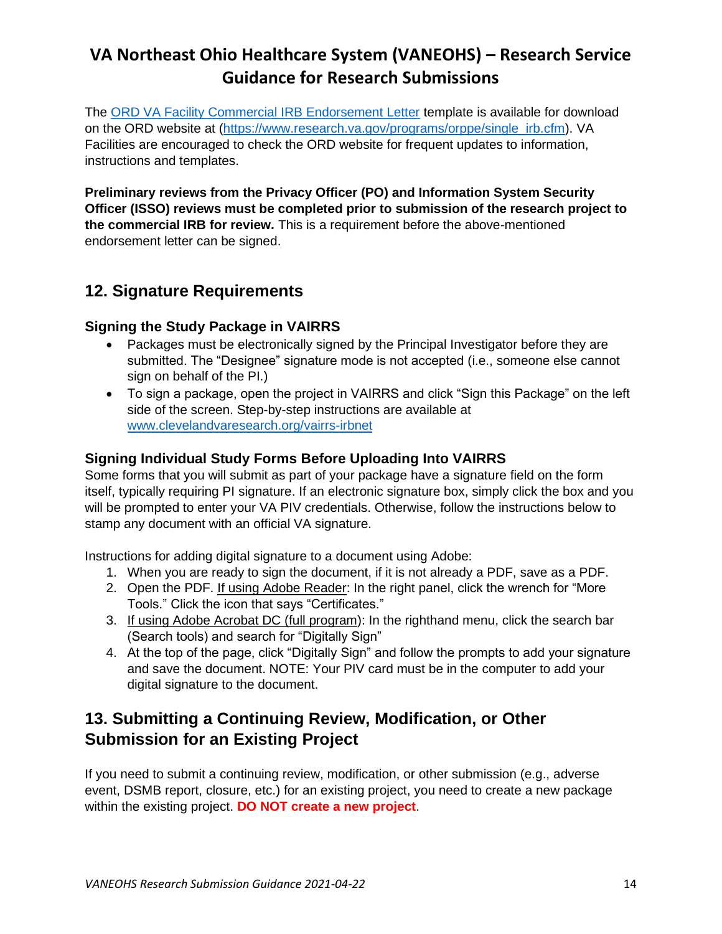The [ORD VA Facility Commercial IRB Endorsement Letter](https://www.research.va.gov/programs/orppe/VA-Facility-Endorsement-Letter-Template-for-Commercial-IRB-Submission.pdf) template is available for download on the ORD website at [\(https://www.research.va.gov/programs/orppe/single\\_irb.cfm\)](https://www.research.va.gov/programs/orppe/single_irb.cfm). VA Facilities are encouraged to check the ORD website for frequent updates to information, instructions and templates.

**Preliminary reviews from the Privacy Officer (PO) and Information System Security Officer (ISSO) reviews must be completed prior to submission of the research project to the commercial IRB for review.** This is a requirement before the above-mentioned endorsement letter can be signed.

## <span id="page-13-0"></span>**12. Signature Requirements**

### <span id="page-13-1"></span>**Signing the Study Package in VAIRRS**

- Packages must be electronically signed by the Principal Investigator before they are submitted. The "Designee" signature mode is not accepted (i.e., someone else cannot sign on behalf of the PI.)
- To sign a package, open the project in VAIRRS and click "Sign this Package" on the left side of the screen. Step-by-step instructions are available at [www.clevelandvaresearch.org/vairrs-irbnet](http://www.clevelandvaresearch.org/vairrs-irbnet)

### <span id="page-13-2"></span>**Signing Individual Study Forms Before Uploading Into VAIRRS**

Some forms that you will submit as part of your package have a signature field on the form itself, typically requiring PI signature. If an electronic signature box, simply click the box and you will be prompted to enter your VA PIV credentials. Otherwise, follow the instructions below to stamp any document with an official VA signature.

Instructions for adding digital signature to a document using Adobe:

- 1. When you are ready to sign the document, if it is not already a PDF, save as a PDF.
- 2. Open the PDF. If using Adobe Reader: In the right panel, click the wrench for "More Tools." Click the icon that says "Certificates."
- 3. If using Adobe Acrobat DC (full program): In the righthand menu, click the search bar (Search tools) and search for "Digitally Sign"
- 4. At the top of the page, click "Digitally Sign" and follow the prompts to add your signature and save the document. NOTE: Your PIV card must be in the computer to add your digital signature to the document.

## <span id="page-13-3"></span>**13. Submitting a Continuing Review, Modification, or Other Submission for an Existing Project**

If you need to submit a continuing review, modification, or other submission (e.g., adverse event, DSMB report, closure, etc.) for an existing project, you need to create a new package within the existing project. **DO NOT create a new project**.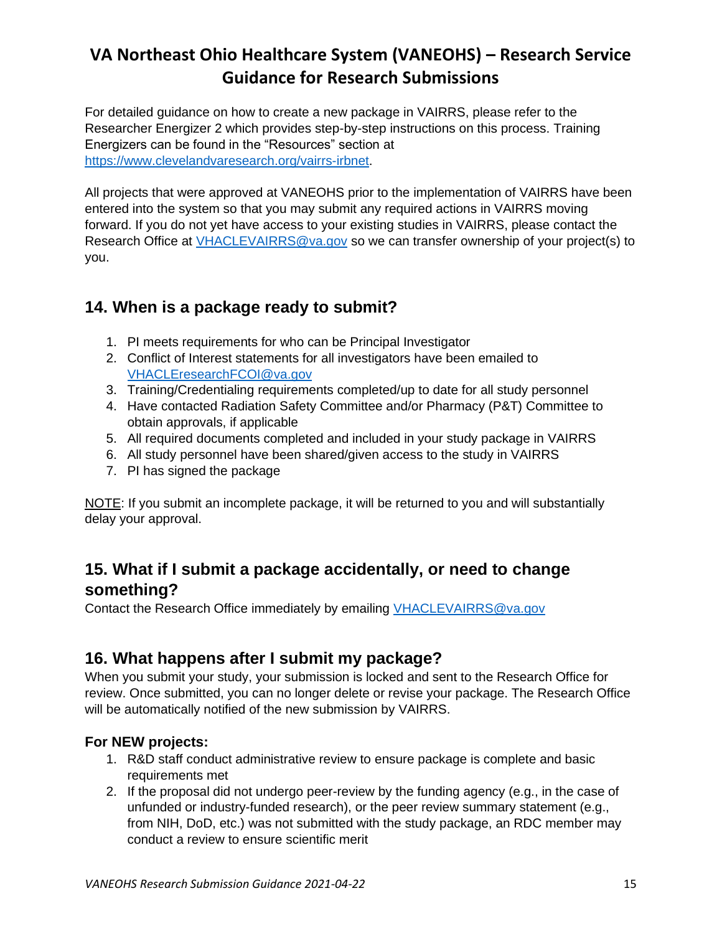For detailed guidance on how to create a new package in VAIRRS, please refer to the Researcher Energizer 2 which provides step-by-step instructions on this process. Training Energizers can be found in the "Resources" section at [https://www.clevelandvaresearch.org/vairrs-irbnet.](https://www.clevelandvaresearch.org/vairrs-irbnet)

All projects that were approved at VANEOHS prior to the implementation of VAIRRS have been entered into the system so that you may submit any required actions in VAIRRS moving forward. If you do not yet have access to your existing studies in VAIRRS, please contact the Research Office at [VHACLEVAIRRS@va.gov](mailto:VHACLEVAIRRS@va.gov) so we can transfer ownership of your project(s) to you.

## <span id="page-14-0"></span>**14. When is a package ready to submit?**

- 1. PI meets requirements for who can be Principal Investigator
- 2. Conflict of Interest statements for all investigators have been emailed to [VHACLEresearchFCOI@va.gov](mailto:VHACLEresearchFCOI@va.gov)
- 3. Training/Credentialing requirements completed/up to date for all study personnel
- 4. Have contacted Radiation Safety Committee and/or Pharmacy (P&T) Committee to obtain approvals, if applicable
- 5. All required documents completed and included in your study package in VAIRRS
- 6. All study personnel have been shared/given access to the study in VAIRRS
- 7. PI has signed the package

NOTE: If you submit an incomplete package, it will be returned to you and will substantially delay your approval.

## <span id="page-14-1"></span>**15. What if I submit a package accidentally, or need to change something?**

Contact the Research Office immediately by emailing [VHACLEVAIRRS@va.gov](mailto:VHACLEVAIRRS@va.gov)

## <span id="page-14-2"></span>**16. What happens after I submit my package?**

When you submit your study, your submission is locked and sent to the Research Office for review. Once submitted, you can no longer delete or revise your package. The Research Office will be automatically notified of the new submission by VAIRRS.

### <span id="page-14-3"></span>**For NEW projects:**

- 1. R&D staff conduct administrative review to ensure package is complete and basic requirements met
- 2. If the proposal did not undergo peer-review by the funding agency (e.g., in the case of unfunded or industry-funded research), or the peer review summary statement (e.g., from NIH, DoD, etc.) was not submitted with the study package, an RDC member may conduct a review to ensure scientific merit